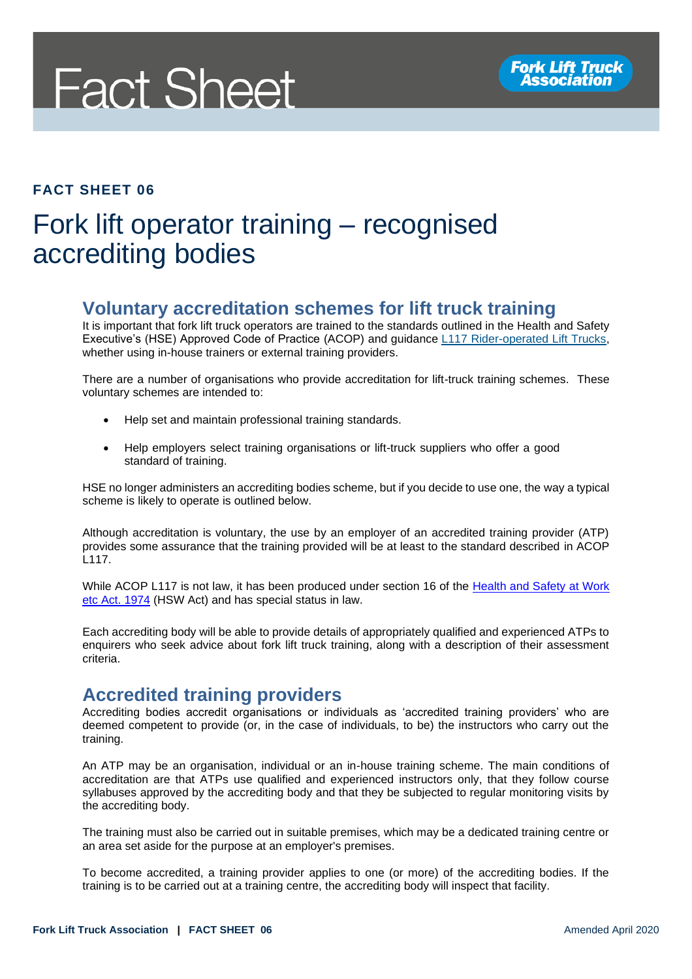

#### **FACT SHEET 06**

# Fork lift operator training – recognised accrediting bodies

#### **Voluntary accreditation schemes for lift truck training**

It is important that fork lift truck operators are trained to the standards outlined in the Health and Safety Executive's (HSE) Approved Code of Practice (ACOP) and guidance [L117 Rider-operated Lift Trucks,](http://www.hse.gov.uk/pUbns/priced/l117.pdf) whether using in-house trainers or external training providers.

There are a number of organisations who provide accreditation for lift-truck training schemes. These voluntary schemes are intended to:

- Help set and maintain professional training standards.
- Help employers select training organisations or lift-truck suppliers who offer a good standard of training.

HSE no longer administers an accrediting bodies scheme, but if you decide to use one, the way a typical scheme is likely to operate is outlined below.

Although accreditation is voluntary, the use by an employer of an accredited training provider (ATP) provides some assurance that the training provided will be at least to the standard described in ACOP L117.

While ACOP L117 is not law, it has been produced under section 16 of the [Health and Safety at Work](http://www.legislation.gov.uk/ukpga/1974/37/section/16)  [etc Act. 1974](http://www.legislation.gov.uk/ukpga/1974/37/section/16) (HSW Act) and has special status in law.

Each accrediting body will be able to provide details of appropriately qualified and experienced ATPs to enquirers who seek advice about fork lift truck training, along with a description of their assessment criteria.

### **Accredited training providers**

Accrediting bodies accredit organisations or individuals as 'accredited training providers' who are deemed competent to provide (or, in the case of individuals, to be) the instructors who carry out the training.

An ATP may be an organisation, individual or an in-house training scheme. The main conditions of accreditation are that ATPs use qualified and experienced instructors only, that they follow course syllabuses approved by the accrediting body and that they be subjected to regular monitoring visits by the accrediting body.

The training must also be carried out in suitable premises, which may be a dedicated training centre or an area set aside for the purpose at an employer's premises.

To become accredited, a training provider applies to one (or more) of the accrediting bodies. If the training is to be carried out at a training centre, the accrediting body will inspect that facility.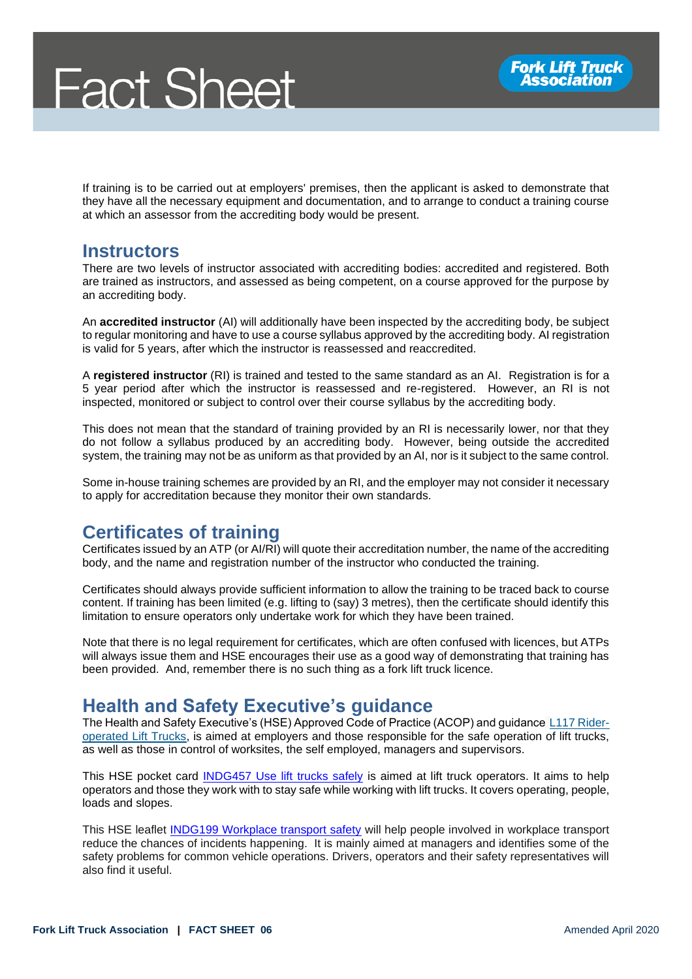If training is to be carried out at employers' premises, then the applicant is asked to demonstrate that they have all the necessary equipment and documentation, and to arrange to conduct a training course at which an assessor from the accrediting body would be present.

#### **Instructors**

There are two levels of instructor associated with accrediting bodies: accredited and registered. Both are trained as instructors, and assessed as being competent, on a course approved for the purpose by an accrediting body.

An **accredited instructor** (AI) will additionally have been inspected by the accrediting body, be subject to regular monitoring and have to use a course syllabus approved by the accrediting body. AI registration is valid for 5 years, after which the instructor is reassessed and reaccredited.

A **registered instructor** (RI) is trained and tested to the same standard as an AI. Registration is for a 5 year period after which the instructor is reassessed and re-registered. However, an RI is not inspected, monitored or subject to control over their course syllabus by the accrediting body.

This does not mean that the standard of training provided by an RI is necessarily lower, nor that they do not follow a syllabus produced by an accrediting body. However, being outside the accredited system, the training may not be as uniform as that provided by an AI, nor is it subject to the same control.

Some in-house training schemes are provided by an RI, and the employer may not consider it necessary to apply for accreditation because they monitor their own standards.

## **Certificates of training**

Certificates issued by an ATP (or AI/RI) will quote their accreditation number, the name of the accrediting body, and the name and registration number of the instructor who conducted the training.

Certificates should always provide sufficient information to allow the training to be traced back to course content. If training has been limited (e.g. lifting to (say) 3 metres), then the certificate should identify this limitation to ensure operators only undertake work for which they have been trained.

Note that there is no legal requirement for certificates, which are often confused with licences, but ATPs will always issue them and HSE encourages their use as a good way of demonstrating that training has been provided. And, remember there is no such thing as a fork lift truck licence.

## **Health and Safety Executive's guidance**

The Health and Safety Executive's (HSE) Approved Code of Practice (ACOP) and guidance [L117 Rider](http://www.hse.gov.uk/pUbns/priced/l117.pdf)[operated Lift Trucks,](http://www.hse.gov.uk/pUbns/priced/l117.pdf) is aimed at employers and those responsible for the safe operation of lift trucks, as well as those in control of worksites, the self employed, managers and supervisors.

This HSE pocket card [INDG457 Use lift trucks safely](https://www.hse.gov.uk/pubns/indg457.pdf) is aimed at lift truck operators. It aims to help operators and those they work with to stay safe while working with lift trucks. It covers operating, people, loads and slopes.

This HSE leaflet **INDG199 Workplace transport safety** will help people involved in workplace transport reduce the chances of incidents happening. It is mainly aimed at managers and identifies some of the safety problems for common vehicle operations. Drivers, operators and their safety representatives will also find it useful.